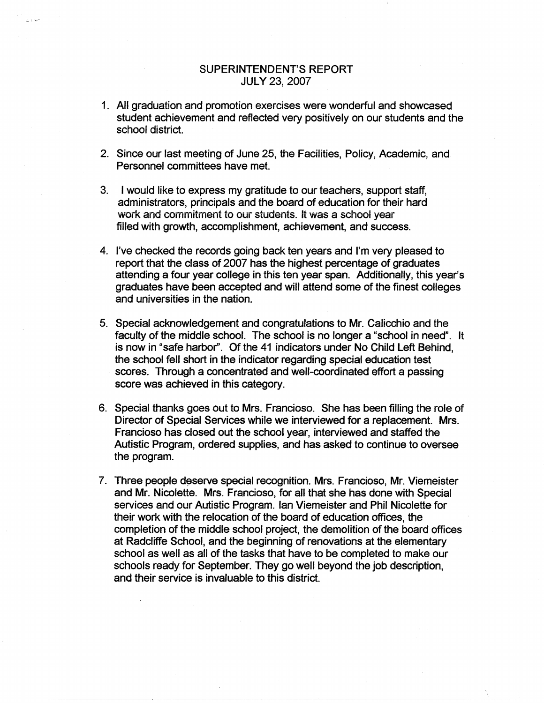## SUPERINTENDENT'S REPORT JULY 23, 2007

a tiwe

- 1. All graduation and promotion exercises were wonderful and showcased student achievement and reflected very positively on our students and the school district.
- 2. Since our last meeting of June 25, the Facilities, Policy, Academic, and Personnel committees have met.
- 3. I would like to express my gratitude to our teachers, support staff, administrators, principals and the board of education for their hard work and commitment to our students. It was a school year filled with growth, accomplishment, achievement, and success.
- 4. I've checked the records going back ten years and I'm very pleased to report that the class of 2007 has the highest percentage of graduates attending a four year college in this ten year span. Additionally, this year's graduates have been accepted and will attend some of the finest colleges and universities in the nation.
- 5. Special acknowledgement and congratulations to Mr. Calicchio and the faculty of the middle school. The school is no longer a "school in need". It is now in "safe harbor". Of the 41 indicators under No Child Left Behind, the school fell short in the indicator regarding special education test scores. Through a concentrated and well-coordinated effort a passing score was achieved in this category.
- 6. Special thanks goes out to Mrs. Franciosa. She has been filling the role of Director of Special Services while we interviewed for a replacement. Mrs. Franciosa has closed out the school year, interviewed and staffed the Autistic Program, ordered supplies, and has asked to continue to oversee the program.
- 7. Three people deserve special recognition. Mrs. Francioso, Mr. Viemeister and Mr. Nicolette. Mrs. Franciosa, for all that she has done with Special services and our Autistic Program. Ian Viemeister and Phil Nicolette for their work with the relocation of the board of education offices, the completion of the middle school project, the demolition of the board offices at Radcliffe School, and the beginning of renovations at the elementary school as well as all of the tasks that have to be completed to make our schools ready for September. They go well beyond the job description, and their service is invaluable to this district.